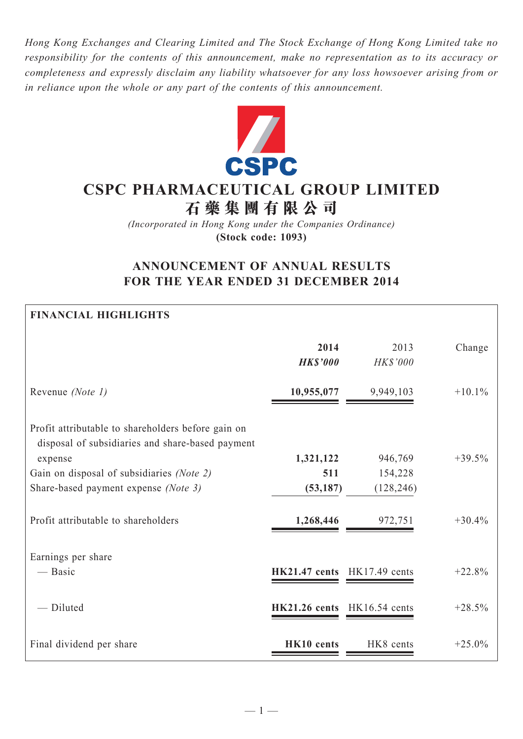*Hong Kong Exchanges and Clearing Limited and The Stock Exchange of Hong Kong Limited take no responsibility for the contents of this announcement, make no representation as to its accuracy or completeness and expressly disclaim any liability whatsoever for any loss howsoever arising from or in reliance upon the whole or any part of the contents of this announcement.*



# **CSPC PHARMACEUTICAL GROUP LIMITED**

**石 藥 集 團 有 限 公 司**

*(Incorporated in Hong Kong under the Companies Ordinance)* **(Stock code: 1093)**

## **ANNOUNCEMENT OF ANNUAL RESULTS FOR THE YEAR ENDED 31 DECEMBER 2014**

## **FINANCIAL HIGHLIGHTS**

|                                                                                                                                                                                                        | 2014<br><b>HK\$'000</b>       | 2013<br>HK\$'000                 | Change   |
|--------------------------------------------------------------------------------------------------------------------------------------------------------------------------------------------------------|-------------------------------|----------------------------------|----------|
| Revenue (Note 1)                                                                                                                                                                                       | 10,955,077                    | 9,949,103                        | $+10.1%$ |
| Profit attributable to shareholders before gain on<br>disposal of subsidiaries and share-based payment<br>expense<br>Gain on disposal of subsidiaries (Note 2)<br>Share-based payment expense (Note 3) | 1,321,122<br>511<br>(53, 187) | 946,769<br>154,228<br>(128, 246) | $+39.5%$ |
| Profit attributable to shareholders                                                                                                                                                                    | 1,268,446                     | 972,751                          | $+30.4%$ |
| Earnings per share<br>— Basic                                                                                                                                                                          | <b>HK21.47 cents</b>          | $HK17.49$ cents                  | $+22.8%$ |
| - Diluted                                                                                                                                                                                              | <b>HK21.26 cents</b>          | HK16.54 cents                    | $+28.5%$ |
| Final dividend per share                                                                                                                                                                               | HK10 cents                    | HK8 cents                        | $+25.0%$ |

 $-1-$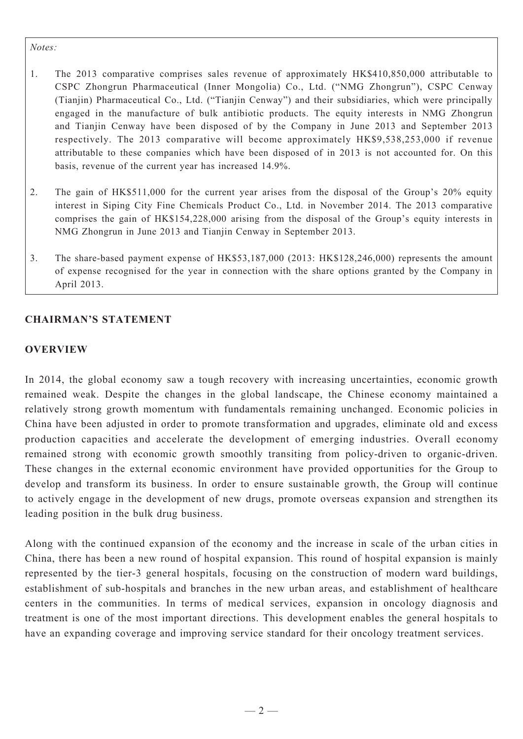#### *Notes:*

- 1. The 2013 comparative comprises sales revenue of approximately HK\$410,850,000 attributable to CSPC Zhongrun Pharmaceutical (Inner Mongolia) Co., Ltd. ("NMG Zhongrun"), CSPC Cenway (Tianjin) Pharmaceutical Co., Ltd. ("Tianjin Cenway") and their subsidiaries, which were principally engaged in the manufacture of bulk antibiotic products. The equity interests in NMG Zhongrun and Tianjin Cenway have been disposed of by the Company in June 2013 and September 2013 respectively. The 2013 comparative will become approximately HK\$9,538,253,000 if revenue attributable to these companies which have been disposed of in 2013 is not accounted for. On this basis, revenue of the current year has increased 14.9%.
- 2. The gain of HK\$511,000 for the current year arises from the disposal of the Group's 20% equity interest in Siping City Fine Chemicals Product Co., Ltd. in November 2014. The 2013 comparative comprises the gain of HK\$154,228,000 arising from the disposal of the Group's equity interests in NMG Zhongrun in June 2013 and Tianjin Cenway in September 2013.
- 3. The share-based payment expense of HK\$53,187,000 (2013: HK\$128,246,000) represents the amount of expense recognised for the year in connection with the share options granted by the Company in April 2013.

## **Chairman's Statement**

## **OVERVIEW**

In 2014, the global economy saw a tough recovery with increasing uncertainties, economic growth remained weak. Despite the changes in the global landscape, the Chinese economy maintained a relatively strong growth momentum with fundamentals remaining unchanged. Economic policies in China have been adjusted in order to promote transformation and upgrades, eliminate old and excess production capacities and accelerate the development of emerging industries. Overall economy remained strong with economic growth smoothly transiting from policy-driven to organic-driven. These changes in the external economic environment have provided opportunities for the Group to develop and transform its business. In order to ensure sustainable growth, the Group will continue to actively engage in the development of new drugs, promote overseas expansion and strengthen its leading position in the bulk drug business.

Along with the continued expansion of the economy and the increase in scale of the urban cities in China, there has been a new round of hospital expansion. This round of hospital expansion is mainly represented by the tier-3 general hospitals, focusing on the construction of modern ward buildings, establishment of sub-hospitals and branches in the new urban areas, and establishment of healthcare centers in the communities. In terms of medical services, expansion in oncology diagnosis and treatment is one of the most important directions. This development enables the general hospitals to have an expanding coverage and improving service standard for their oncology treatment services.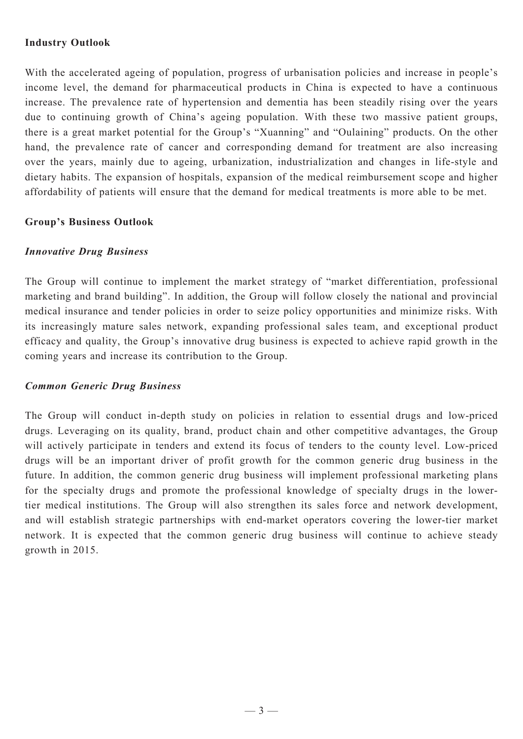## **Industry Outlook**

With the accelerated ageing of population, progress of urbanisation policies and increase in people's income level, the demand for pharmaceutical products in China is expected to have a continuous increase. The prevalence rate of hypertension and dementia has been steadily rising over the years due to continuing growth of China's ageing population. With these two massive patient groups, there is a great market potential for the Group's "Xuanning" and "Oulaining" products. On the other hand, the prevalence rate of cancer and corresponding demand for treatment are also increasing over the years, mainly due to ageing, urbanization, industrialization and changes in life-style and dietary habits. The expansion of hospitals, expansion of the medical reimbursement scope and higher affordability of patients will ensure that the demand for medical treatments is more able to be met.

## **Group's Business Outlook**

## *Innovative Drug Business*

The Group will continue to implement the market strategy of "market differentiation, professional marketing and brand building". In addition, the Group will follow closely the national and provincial medical insurance and tender policies in order to seize policy opportunities and minimize risks. With its increasingly mature sales network, expanding professional sales team, and exceptional product efficacy and quality, the Group's innovative drug business is expected to achieve rapid growth in the coming years and increase its contribution to the Group.

## *Common Generic Drug Business*

The Group will conduct in-depth study on policies in relation to essential drugs and low-priced drugs. Leveraging on its quality, brand, product chain and other competitive advantages, the Group will actively participate in tenders and extend its focus of tenders to the county level. Low-priced drugs will be an important driver of profit growth for the common generic drug business in the future. In addition, the common generic drug business will implement professional marketing plans for the specialty drugs and promote the professional knowledge of specialty drugs in the lowertier medical institutions. The Group will also strengthen its sales force and network development, and will establish strategic partnerships with end-market operators covering the lower-tier market network. It is expected that the common generic drug business will continue to achieve steady growth in 2015.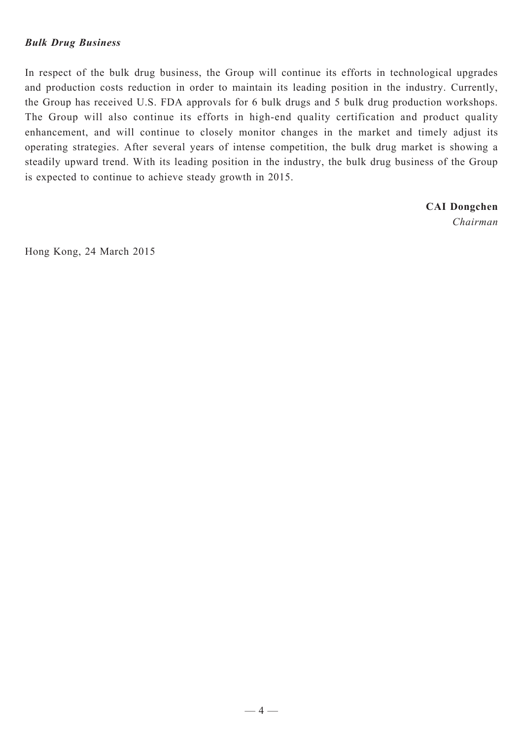## *Bulk Drug Business*

In respect of the bulk drug business, the Group will continue its efforts in technological upgrades and production costs reduction in order to maintain its leading position in the industry. Currently, the Group has received U.S. FDA approvals for 6 bulk drugs and 5 bulk drug production workshops. The Group will also continue its efforts in high-end quality certification and product quality enhancement, and will continue to closely monitor changes in the market and timely adjust its operating strategies. After several years of intense competition, the bulk drug market is showing a steadily upward trend. With its leading position in the industry, the bulk drug business of the Group is expected to continue to achieve steady growth in 2015.

> **CAI Dongchen** *Chairman*

Hong Kong, 24 March 2015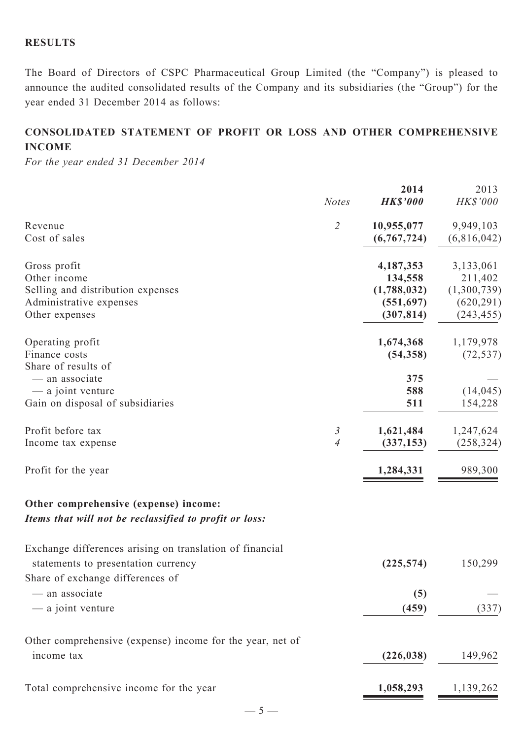## **RESULTS**

The Board of Directors of CSPC Pharmaceutical Group Limited (the "Company") is pleased to announce the audited consolidated results of the Company and its subsidiaries (the "Group") for the year ended 31 December 2014 as follows:

## **CONSOLIDATED STATEMENT OF profit or loss AND OTHER COMPREHENSIVE INCOME**

*For the year ended 31 December 2014*

|                                                                                                                                     | <b>Notes</b>                  | 2014<br><b>HK\$'000</b>                                        | 2013<br>HK\$'000                                                |
|-------------------------------------------------------------------------------------------------------------------------------------|-------------------------------|----------------------------------------------------------------|-----------------------------------------------------------------|
| Revenue<br>Cost of sales                                                                                                            | $\overline{2}$                | 10,955,077<br>(6,767,724)                                      | 9,949,103<br>(6,816,042)                                        |
| Gross profit<br>Other income<br>Selling and distribution expenses<br>Administrative expenses<br>Other expenses                      |                               | 4,187,353<br>134,558<br>(1,788,032)<br>(551,697)<br>(307, 814) | 3,133,061<br>211,402<br>(1,300,739)<br>(620, 291)<br>(243, 455) |
| Operating profit<br>Finance costs<br>Share of results of                                                                            |                               | 1,674,368<br>(54, 358)                                         | 1,179,978<br>(72, 537)                                          |
| - an associate<br>— a joint venture<br>Gain on disposal of subsidiaries                                                             |                               | 375<br>588<br>511                                              | (14, 045)<br>154,228                                            |
| Profit before tax<br>Income tax expense                                                                                             | 3<br>$\overline{\mathcal{A}}$ | 1,621,484<br>(337, 153)                                        | 1,247,624<br>(258, 324)                                         |
| Profit for the year                                                                                                                 |                               | 1,284,331                                                      | 989,300                                                         |
| Other comprehensive (expense) income:<br>Items that will not be reclassified to profit or loss:                                     |                               |                                                                |                                                                 |
| Exchange differences arising on translation of financial<br>statements to presentation currency<br>Share of exchange differences of |                               | (225, 574)                                                     | 150,299                                                         |
| - an associate<br>— a joint venture                                                                                                 |                               | (5)<br>(459)                                                   | (337)                                                           |
| Other comprehensive (expense) income for the year, net of<br>income tax                                                             |                               | (226, 038)                                                     | 149,962                                                         |
| Total comprehensive income for the year                                                                                             |                               | 1,058,293                                                      | 1,139,262                                                       |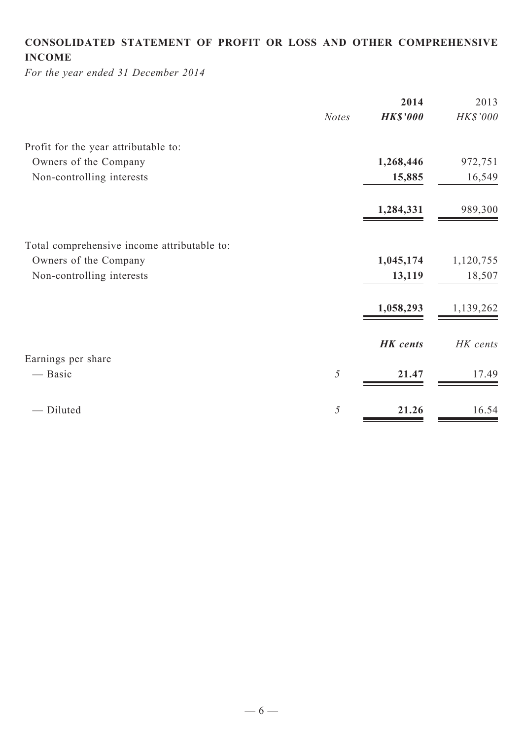# **CONSOLIDATED STATEMENT OF profit or loss and Other COMPREHENSIVE INCOME**

*For the year ended 31 December 2014*

|              | 2014            | 2013      |
|--------------|-----------------|-----------|
| <b>Notes</b> | <b>HK\$'000</b> | HK\$'000  |
|              |                 |           |
|              | 1,268,446       | 972,751   |
|              | 15,885          | 16,549    |
|              | 1,284,331       | 989,300   |
|              |                 |           |
|              | 1,045,174       | 1,120,755 |
|              | 13,119          | 18,507    |
|              | 1,058,293       | 1,139,262 |
|              | <b>HK</b> cents | HK cents  |
|              |                 |           |
| 5            | 21.47           | 17.49     |
| 5            | 21.26           | 16.54     |
|              |                 |           |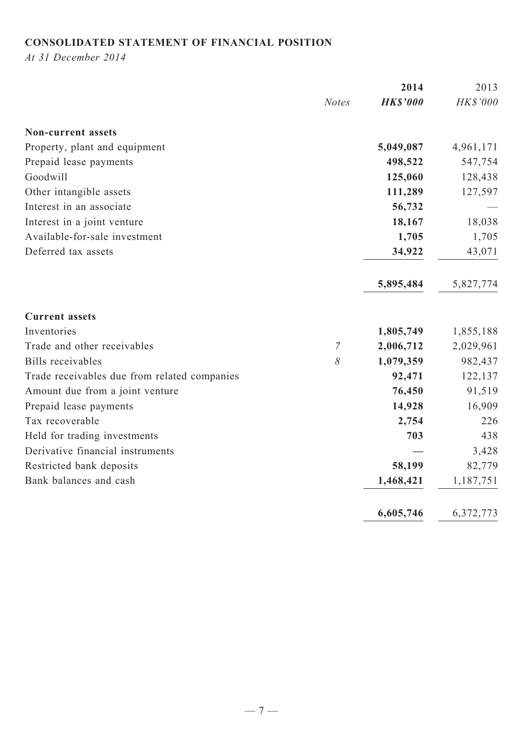## **CONSOLIDATED STATEMENT OF FINANCIAL POSITION**

*At 31 December 2014*

|                                              |                | 2014            | 2013      |
|----------------------------------------------|----------------|-----------------|-----------|
|                                              | <b>Notes</b>   | <b>HK\$'000</b> | HK\$'000  |
| <b>Non-current assets</b>                    |                |                 |           |
| Property, plant and equipment                |                | 5,049,087       | 4,961,171 |
| Prepaid lease payments                       |                | 498,522         | 547,754   |
| Goodwill                                     |                | 125,060         | 128,438   |
| Other intangible assets                      |                | 111,289         | 127,597   |
| Interest in an associate                     |                | 56,732          |           |
| Interest in a joint venture                  |                | 18,167          | 18,038    |
| Available-for-sale investment                |                | 1,705           | 1,705     |
| Deferred tax assets                          |                | 34,922          | 43,071    |
|                                              |                | 5,895,484       | 5,827,774 |
| <b>Current assets</b>                        |                |                 |           |
| Inventories                                  |                | 1,805,749       | 1,855,188 |
| Trade and other receivables                  | $\overline{7}$ | 2,006,712       | 2,029,961 |
| <b>Bills</b> receivables                     | 8              | 1,079,359       | 982,437   |
| Trade receivables due from related companies |                | 92,471          | 122,137   |
| Amount due from a joint venture              |                | 76,450          | 91,519    |
| Prepaid lease payments                       |                | 14,928          | 16,909    |
| Tax recoverable                              |                | 2,754           | 226       |
| Held for trading investments                 |                | 703             | 438       |
| Derivative financial instruments             |                |                 | 3,428     |
| Restricted bank deposits                     |                | 58,199          | 82,779    |
| Bank balances and cash                       |                | 1,468,421       | 1,187,751 |
|                                              |                | 6,605,746       | 6,372,773 |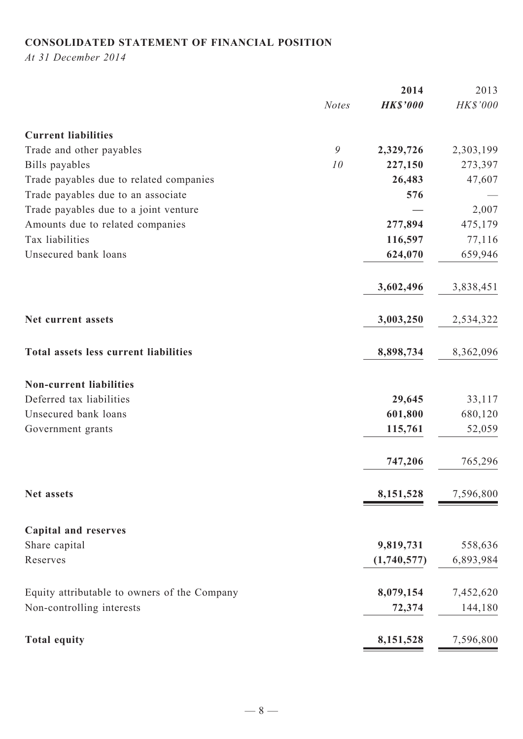## **CONSOLIDATED STATEMENT OF FINANCIAL POSITION**

*At 31 December 2014*

|                                              |              | 2014            | 2013      |
|----------------------------------------------|--------------|-----------------|-----------|
|                                              | <b>Notes</b> | <b>HK\$'000</b> | HK\$'000  |
| <b>Current liabilities</b>                   |              |                 |           |
| Trade and other payables                     | 9            | 2,329,726       | 2,303,199 |
| Bills payables                               | 10           | 227,150         | 273,397   |
| Trade payables due to related companies      |              | 26,483          | 47,607    |
| Trade payables due to an associate           |              | 576             |           |
| Trade payables due to a joint venture        |              |                 | 2,007     |
| Amounts due to related companies             |              | 277,894         | 475,179   |
| Tax liabilities                              |              | 116,597         | 77,116    |
| Unsecured bank loans                         |              | 624,070         | 659,946   |
|                                              |              | 3,602,496       | 3,838,451 |
| Net current assets                           |              | 3,003,250       | 2,534,322 |
| Total assets less current liabilities        |              | 8,898,734       | 8,362,096 |
| <b>Non-current liabilities</b>               |              |                 |           |
| Deferred tax liabilities                     |              | 29,645          | 33,117    |
| Unsecured bank loans                         |              | 601,800         | 680,120   |
| Government grants                            |              | 115,761         | 52,059    |
|                                              |              | 747,206         | 765,296   |
| Net assets                                   |              | 8,151,528       | 7,596,800 |
| <b>Capital and reserves</b>                  |              |                 |           |
| Share capital                                |              | 9,819,731       | 558,636   |
| Reserves                                     |              | (1,740,577)     | 6,893,984 |
| Equity attributable to owners of the Company |              | 8,079,154       | 7,452,620 |
| Non-controlling interests                    |              | 72,374          | 144,180   |
| <b>Total equity</b>                          |              | 8,151,528       | 7,596,800 |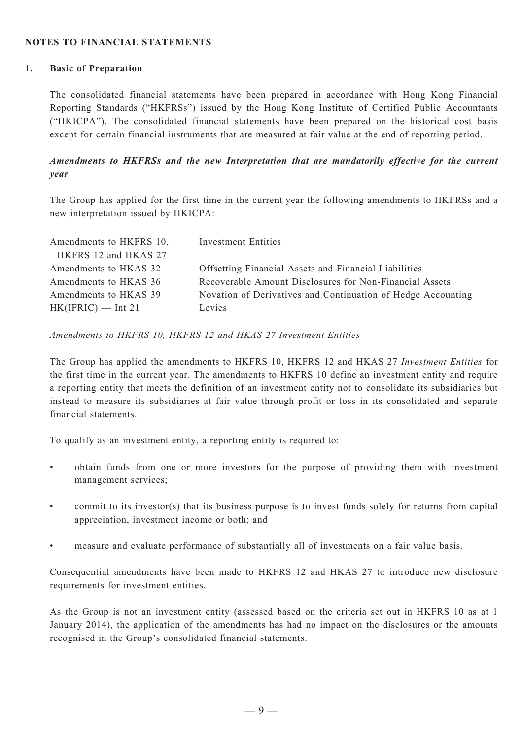#### **NOTES TO FINANCIAL STATEMENTS**

#### **1. Basic of Preparation**

The consolidated financial statements have been prepared in accordance with Hong Kong Financial Reporting Standards ("HKFRSs") issued by the Hong Kong Institute of Certified Public Accountants ("HKICPA"). The consolidated financial statements have been prepared on the historical cost basis except for certain financial instruments that are measured at fair value at the end of reporting period.

## *Amendments to HKFRSs and the new Interpretation that are mandatorily effective for the current year*

The Group has applied for the first time in the current year the following amendments to HKFRSs and a new interpretation issued by HKICPA:

| Amendments to HKFRS 10, | <b>Investment Entities</b>                                   |
|-------------------------|--------------------------------------------------------------|
| HKFRS 12 and HKAS 27    |                                                              |
| Amendments to HKAS 32   | Offsetting Financial Assets and Financial Liabilities        |
| Amendments to HKAS 36   | Recoverable Amount Disclosures for Non-Financial Assets      |
| Amendments to HKAS 39   | Novation of Derivatives and Continuation of Hedge Accounting |
| $HK(IFRIC)$ — Int 21    | Levies                                                       |

*Amendments to HKFRS 10, HKFRS 12 and HKAS 27 Investment Entities*

The Group has applied the amendments to HKFRS 10, HKFRS 12 and HKAS 27 *Investment Entities* for the first time in the current year. The amendments to HKFRS 10 define an investment entity and require a reporting entity that meets the definition of an investment entity not to consolidate its subsidiaries but instead to measure its subsidiaries at fair value through profit or loss in its consolidated and separate financial statements.

To qualify as an investment entity, a reporting entity is required to:

- obtain funds from one or more investors for the purpose of providing them with investment management services;
- commit to its investor(s) that its business purpose is to invest funds solely for returns from capital appreciation, investment income or both; and
- measure and evaluate performance of substantially all of investments on a fair value basis.

Consequential amendments have been made to HKFRS 12 and HKAS 27 to introduce new disclosure requirements for investment entities.

As the Group is not an investment entity (assessed based on the criteria set out in HKFRS 10 as at 1 January 2014), the application of the amendments has had no impact on the disclosures or the amounts recognised in the Group's consolidated financial statements.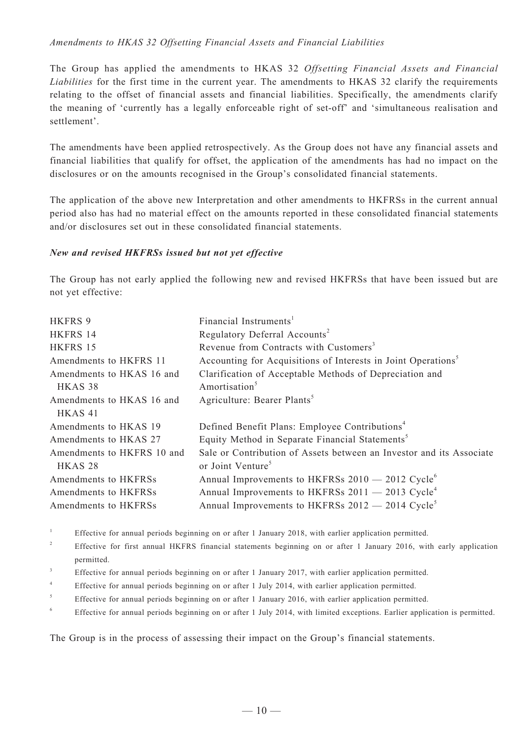#### *Amendments to HKAS 32 Offsetting Financial Assets and Financial Liabilities*

The Group has applied the amendments to HKAS 32 *Offsetting Financial Assets and Financial Liabilities* for the first time in the current year. The amendments to HKAS 32 clarify the requirements relating to the offset of financial assets and financial liabilities. Specifically, the amendments clarify the meaning of 'currently has a legally enforceable right of set-off' and 'simultaneous realisation and settlement'.

The amendments have been applied retrospectively. As the Group does not have any financial assets and financial liabilities that qualify for offset, the application of the amendments has had no impact on the disclosures or on the amounts recognised in the Group's consolidated financial statements.

The application of the above new Interpretation and other amendments to HKFRSs in the current annual period also has had no material effect on the amounts reported in these consolidated financial statements and/or disclosures set out in these consolidated financial statements.

#### *New and revised HKFRSs issued but not yet effective*

The Group has not early applied the following new and revised HKFRSs that have been issued but are not yet effective:

| <b>HKFRS 9</b>             | Financial Instruments <sup>1</sup>                                        |
|----------------------------|---------------------------------------------------------------------------|
| HKFRS 14                   | Regulatory Deferral Accounts <sup>2</sup>                                 |
| HKFRS 15                   | Revenue from Contracts with Customers <sup>3</sup>                        |
| Amendments to HKFRS 11     | Accounting for Acquisitions of Interests in Joint Operations <sup>5</sup> |
| Amendments to HKAS 16 and  | Clarification of Acceptable Methods of Depreciation and                   |
| HKAS <sub>38</sub>         | Amortisation <sup>5</sup>                                                 |
| Amendments to HKAS 16 and  | Agriculture: Bearer Plants <sup>5</sup>                                   |
| HKAS <sub>41</sub>         |                                                                           |
| Amendments to HKAS 19      | Defined Benefit Plans: Employee Contributions <sup>4</sup>                |
| Amendments to HKAS 27      | Equity Method in Separate Financial Statements <sup>5</sup>               |
| Amendments to HKFRS 10 and | Sale or Contribution of Assets between an Investor and its Associate      |
| HKAS <sub>28</sub>         | or Joint Venture <sup>5</sup>                                             |
| Amendments to HKFRSs       | Annual Improvements to HKFRSs 2010 - 2012 Cycle <sup>6</sup>              |
| Amendments to HKFRSs       | Annual Improvements to HKFRSs 2011 - 2013 Cycle <sup>4</sup>              |
| Amendments to HKFRSs       | Annual Improvements to HKFRSs 2012 - 2014 Cycle <sup>5</sup>              |

<sup>1</sup> Effective for annual periods beginning on or after 1 January 2018, with earlier application permitted.

- <sup>3</sup> Effective for annual periods beginning on or after 1 January 2017, with earlier application permitted.
- <sup>4</sup> Effective for annual periods beginning on or after 1 July 2014, with earlier application permitted.
- <sup>5</sup> Effective for annual periods beginning on or after 1 January 2016, with earlier application permitted.
- <sup>6</sup> Effective for annual periods beginning on or after 1 July 2014, with limited exceptions. Earlier application is permitted.

The Group is in the process of assessing their impact on the Group's financial statements.

<sup>&</sup>lt;sup>2</sup> Effective for first annual HKFRS financial statements beginning on or after 1 January 2016, with early application permitted.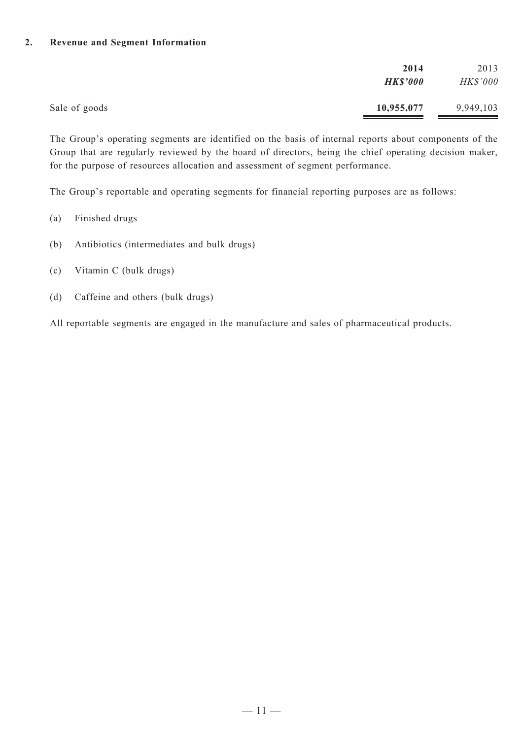#### **2. Revenue and Segment Information**

|               | 2014            | 2013            |
|---------------|-----------------|-----------------|
|               | <b>HK\$'000</b> | <b>HK\$'000</b> |
| Sale of goods | 10,955,077      | 9,949,103       |

The Group's operating segments are identified on the basis of internal reports about components of the Group that are regularly reviewed by the board of directors, being the chief operating decision maker, for the purpose of resources allocation and assessment of segment performance.

The Group's reportable and operating segments for financial reporting purposes are as follows:

- (a) Finished drugs
- (b) Antibiotics (intermediates and bulk drugs)
- (c) Vitamin C (bulk drugs)
- (d) Caffeine and others (bulk drugs)

All reportable segments are engaged in the manufacture and sales of pharmaceutical products.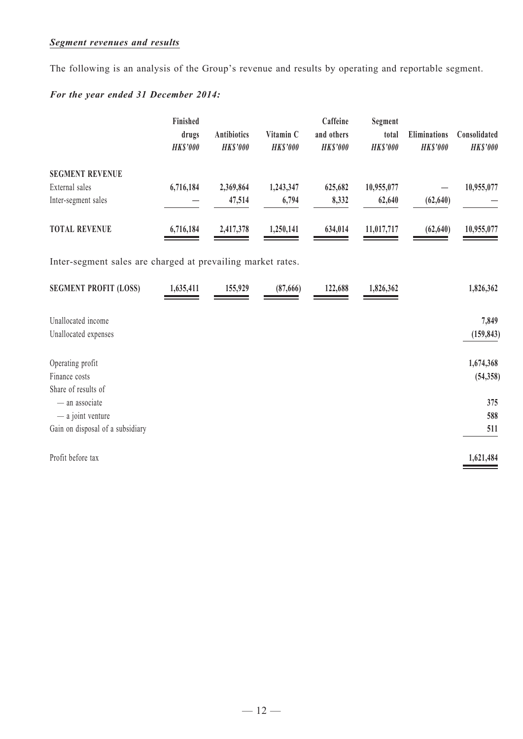## *Segment revenues and results*

The following is an analysis of the Group's revenue and results by operating and reportable segment.

## *For the year ended 31 December 2014:*

|                        | Finished<br>drugs<br><b>HKS'000</b> | <b>Antibiotics</b><br><b>HKS'000</b> | Vitamin C<br><b>HKS'000</b> | Caffeine<br>and others<br><b>HKS'000</b> | Segment<br>total<br><b>HKS'000</b> | <b>Eliminations</b><br><b>HKS'000</b> | Consolidated<br><b>HK\$'000</b> |
|------------------------|-------------------------------------|--------------------------------------|-----------------------------|------------------------------------------|------------------------------------|---------------------------------------|---------------------------------|
| <b>SEGMENT REVENUE</b> |                                     |                                      |                             |                                          |                                    |                                       |                                 |
| External sales         | 6,716,184                           | 2,369,864                            | 1,243,347                   | 625,682                                  | 10,955,077                         |                                       | 10,955,077                      |
| Inter-segment sales    |                                     | 47,514                               | 6,794                       | 8,332                                    | 62,640                             | (62, 640)                             |                                 |
| <b>TOTAL REVENUE</b>   | 6,716,184                           | 2,417,378                            | 1,250,141                   | 634,014                                  | 11,017,717                         | (62, 640)                             | 10,955,077                      |

Inter-segment sales are charged at prevailing market rates.

| <b>SEGMENT PROFIT (LOSS)</b>     | 1,635,411 | 155,929 | (87,666) | 122,688 | 1,826,362 | 1,826,362  |
|----------------------------------|-----------|---------|----------|---------|-----------|------------|
| Unallocated income               |           |         |          |         |           | 7,849      |
| Unallocated expenses             |           |         |          |         |           | (159, 843) |
|                                  |           |         |          |         |           |            |
| Operating profit                 |           |         |          |         |           | 1,674,368  |
| Finance costs                    |           |         |          |         |           | (54, 358)  |
| Share of results of              |           |         |          |         |           |            |
| - an associate                   |           |         |          |         |           | 375        |
| $-$ a joint venture              |           |         |          |         |           | 588        |
| Gain on disposal of a subsidiary |           |         |          |         |           | 511        |
|                                  |           |         |          |         |           |            |
| Profit before tax                |           |         |          |         |           | 1,621,484  |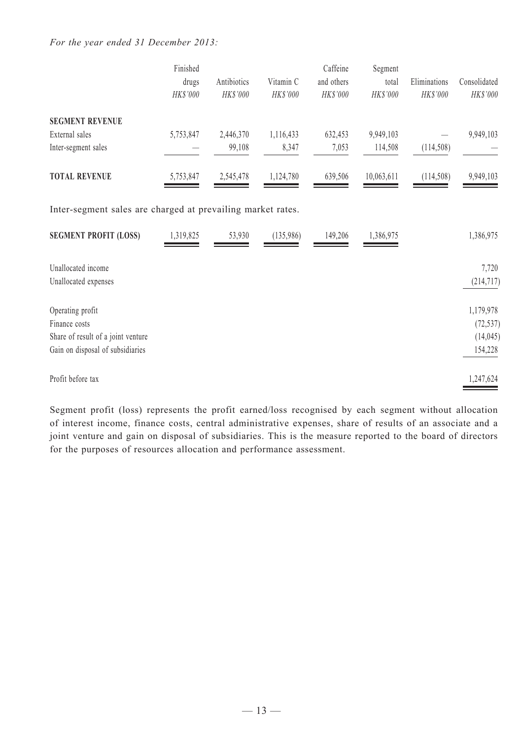#### *For the year ended 31 December 2013:*

|                                                             | Finished<br>drugs<br>HK\$'000 | Antibiotics<br>HK\$'000 | Vitamin C<br>HK\$'000 | Caffeine<br>and others<br>HK\$'000 | Segment<br>total<br>HK\$'000 | Eliminations<br>HK\$'000 | Consolidated<br>HK\$'000 |
|-------------------------------------------------------------|-------------------------------|-------------------------|-----------------------|------------------------------------|------------------------------|--------------------------|--------------------------|
| <b>SEGMENT REVENUE</b>                                      |                               |                         |                       |                                    |                              |                          |                          |
| External sales                                              | 5,753,847                     | 2,446,370               | 1,116,433             | 632,453                            | 9,949,103                    |                          | 9,949,103                |
| Inter-segment sales                                         |                               | 99,108                  | 8,347                 | 7,053                              | 114,508                      | (114, 508)               |                          |
| <b>TOTAL REVENUE</b>                                        | 5,753,847                     | 2,545,478               | 1,124,780             | 639,506                            | 10,063,611                   | (114,508)                | 9,949,103                |
| Inter-segment sales are charged at prevailing market rates. |                               |                         |                       |                                    |                              |                          |                          |
| <b>SEGMENT PROFIT (LOSS)</b>                                | 1,319,825                     | 53,930                  | (135,986)             | 149,206                            | 1,386,975                    |                          | 1,386,975                |
| Unallocated income                                          |                               |                         |                       |                                    |                              |                          | 7,720                    |
| Unallocated expenses                                        |                               |                         |                       |                                    |                              |                          | (214, 717)               |
| Operating profit                                            |                               |                         |                       |                                    |                              |                          | 1,179,978                |
| Finance costs                                               |                               |                         |                       |                                    |                              |                          | (72, 537)                |
| Share of result of a joint venture                          |                               |                         |                       |                                    |                              |                          | (14, 045)                |
| Gain on disposal of subsidiaries                            |                               |                         |                       |                                    |                              |                          | 154,228                  |
| Profit before tax                                           |                               |                         |                       |                                    |                              |                          | 1,247,624                |

Segment profit (loss) represents the profit earned/loss recognised by each segment without allocation of interest income, finance costs, central administrative expenses, share of results of an associate and a joint venture and gain on disposal of subsidiaries. This is the measure reported to the board of directors for the purposes of resources allocation and performance assessment.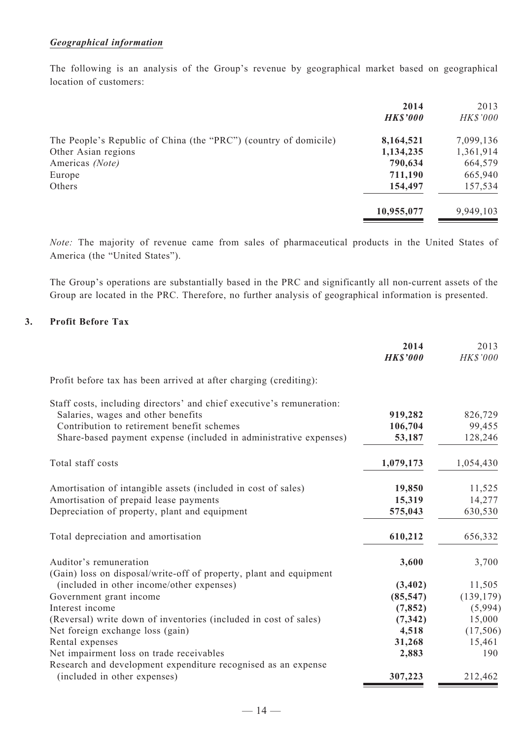#### *Geographical information*

The following is an analysis of the Group's revenue by geographical market based on geographical location of customers:

|                                                                  | 2014<br><b>HK\$'000</b> | 2013<br><b>HK\$'000</b> |
|------------------------------------------------------------------|-------------------------|-------------------------|
| The People's Republic of China (the "PRC") (country of domicile) | 8,164,521               | 7,099,136               |
| Other Asian regions                                              | 1,134,235               | 1,361,914               |
| Americas (Note)                                                  | 790,634                 | 664,579                 |
| Europe                                                           | 711,190                 | 665,940                 |
| Others                                                           | 154,497                 | 157,534                 |
|                                                                  | 10,955,077              | 9,949,103               |

*Note:* The majority of revenue came from sales of pharmaceutical products in the United States of America (the "United States").

The Group's operations are substantially based in the PRC and significantly all non-current assets of the Group are located in the PRC. Therefore, no further analysis of geographical information is presented.

#### **3. Profit Before Tax**

|                                                                                              | 2014<br><b>HK\$'000</b> | 2013<br>HK\$'000 |
|----------------------------------------------------------------------------------------------|-------------------------|------------------|
| Profit before tax has been arrived at after charging (crediting):                            |                         |                  |
| Staff costs, including directors' and chief executive's remuneration:                        |                         |                  |
| Salaries, wages and other benefits                                                           | 919,282                 | 826,729          |
| Contribution to retirement benefit schemes                                                   | 106,704                 | 99,455           |
| Share-based payment expense (included in administrative expenses)                            | 53,187                  | 128,246          |
| Total staff costs                                                                            | 1,079,173               | 1,054,430        |
| Amortisation of intangible assets (included in cost of sales)                                | 19,850                  | 11,525           |
| Amortisation of prepaid lease payments                                                       | 15,319                  | 14,277           |
| Depreciation of property, plant and equipment                                                | 575,043                 | 630,530          |
| Total depreciation and amortisation                                                          | 610,212                 | 656,332          |
| Auditor's remuneration<br>(Gain) loss on disposal/write-off of property, plant and equipment | 3,600                   | 3,700            |
| (included in other income/other expenses)                                                    | (3, 402)                | 11,505           |
| Government grant income                                                                      | (85, 547)               | (139, 179)       |
| Interest income                                                                              | (7, 852)                | (5,994)          |
| (Reversal) write down of inventories (included in cost of sales)                             | (7, 342)                | 15,000           |
| Net foreign exchange loss (gain)                                                             | 4,518                   | (17,506)         |
| Rental expenses                                                                              | 31,268                  | 15,461           |
| Net impairment loss on trade receivables                                                     | 2,883                   | 190              |
| Research and development expenditure recognised as an expense                                |                         |                  |
| (included in other expenses)                                                                 | 307,223                 | 212,462          |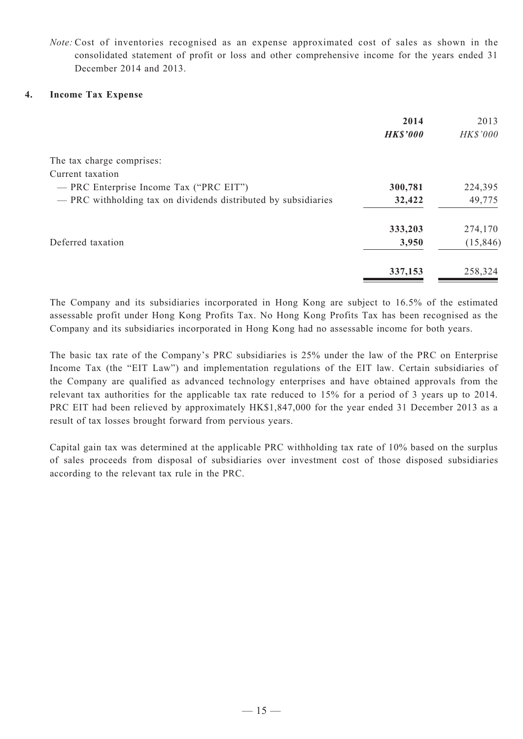*Note:* Cost of inventories recognised as an expense approximated cost of sales as shown in the consolidated statement of profit or loss and other comprehensive income for the years ended 31 December 2014 and 2013.

#### **4. Income Tax Expense**

|                                                                | 2014            | 2013      |
|----------------------------------------------------------------|-----------------|-----------|
|                                                                | <b>HK\$'000</b> | HK\$'000  |
| The tax charge comprises:                                      |                 |           |
| Current taxation                                               |                 |           |
| - PRC Enterprise Income Tax ("PRC EIT")                        | 300,781         | 224,395   |
| - PRC withholding tax on dividends distributed by subsidiaries | 32,422          | 49,775    |
|                                                                | 333,203         | 274,170   |
| Deferred taxation                                              | 3,950           | (15, 846) |
|                                                                | 337,153         | 258,324   |

The Company and its subsidiaries incorporated in Hong Kong are subject to 16.5% of the estimated assessable profit under Hong Kong Profits Tax. No Hong Kong Profits Tax has been recognised as the Company and its subsidiaries incorporated in Hong Kong had no assessable income for both years.

The basic tax rate of the Company's PRC subsidiaries is 25% under the law of the PRC on Enterprise Income Tax (the "EIT Law") and implementation regulations of the EIT law. Certain subsidiaries of the Company are qualified as advanced technology enterprises and have obtained approvals from the relevant tax authorities for the applicable tax rate reduced to 15% for a period of 3 years up to 2014. PRC EIT had been relieved by approximately HK\$1,847,000 for the year ended 31 December 2013 as a result of tax losses brought forward from pervious years.

Capital gain tax was determined at the applicable PRC withholding tax rate of 10% based on the surplus of sales proceeds from disposal of subsidiaries over investment cost of those disposed subsidiaries according to the relevant tax rule in the PRC.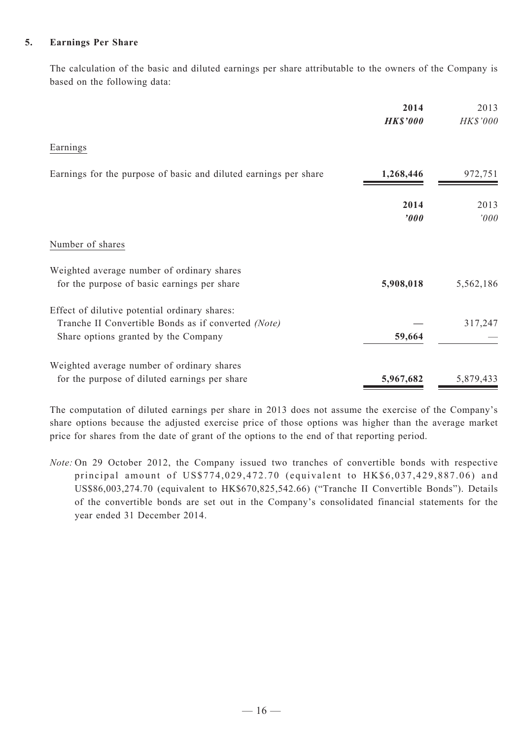#### **5. Earnings Per Share**

The calculation of the basic and diluted earnings per share attributable to the owners of the Company is based on the following data:

|                                                                                                                                              | 2014<br><b>HK\$'000</b> | 2013<br>HK\$'000 |
|----------------------------------------------------------------------------------------------------------------------------------------------|-------------------------|------------------|
| Earnings                                                                                                                                     |                         |                  |
| Earnings for the purpose of basic and diluted earnings per share                                                                             | 1,268,446               | 972,751          |
|                                                                                                                                              | 2014<br>'000            | 2013<br>'000     |
| Number of shares                                                                                                                             |                         |                  |
| Weighted average number of ordinary shares<br>for the purpose of basic earnings per share                                                    | 5,908,018               | 5,562,186        |
| Effect of dilutive potential ordinary shares:<br>Tranche II Convertible Bonds as if converted (Note)<br>Share options granted by the Company | 59,664                  | 317,247          |
| Weighted average number of ordinary shares<br>for the purpose of diluted earnings per share                                                  | 5,967,682               | 5,879,433        |

The computation of diluted earnings per share in 2013 does not assume the exercise of the Company's share options because the adjusted exercise price of those options was higher than the average market price for shares from the date of grant of the options to the end of that reporting period.

*Note:* On 29 October 2012, the Company issued two tranches of convertible bonds with respective principal amount of US\$774,029,472.70 (equivalent to HK\$6,037,429,887.06) and US\$86,003,274.70 (equivalent to HK\$670,825,542.66) ("Tranche II Convertible Bonds"). Details of the convertible bonds are set out in the Company's consolidated financial statements for the year ended 31 December 2014.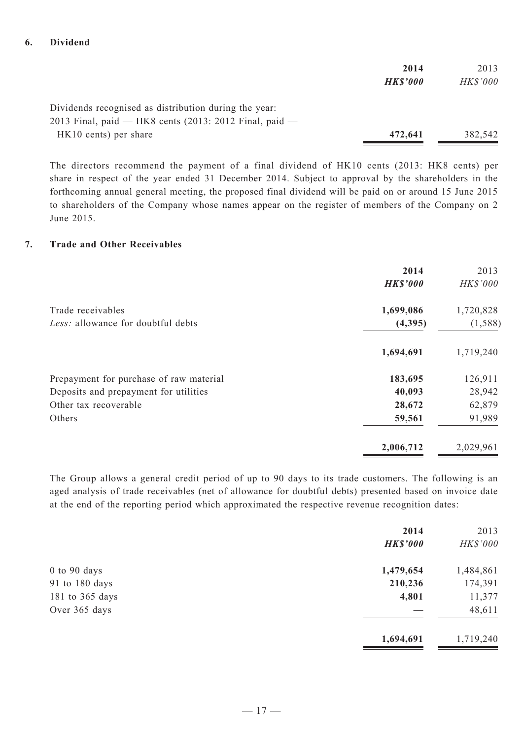#### **6. Dividend**

|                                                          | 2014            | 2013            |
|----------------------------------------------------------|-----------------|-----------------|
|                                                          | <b>HK\$'000</b> | <b>HK\$'000</b> |
| Dividends recognised as distribution during the year:    |                 |                 |
| 2013 Final, paid — HK8 cents $(2013: 2012$ Final, paid — |                 |                 |
| HK10 cents) per share                                    | 472,641         | 382,542         |

The directors recommend the payment of a final dividend of HK10 cents (2013: HK8 cents) per share in respect of the year ended 31 December 2014. Subject to approval by the shareholders in the forthcoming annual general meeting, the proposed final dividend will be paid on or around 15 June 2015 to shareholders of the Company whose names appear on the register of members of the Company on 2 June 2015.

#### **7. Trade and Other Receivables**

|                                         | 2014<br><b>HK\$'000</b> | 2013<br>HK\$'000 |
|-----------------------------------------|-------------------------|------------------|
| Trade receivables                       | 1,699,086               | 1,720,828        |
| Less: allowance for doubtful debts      | (4,395)                 | (1, 588)         |
|                                         | 1,694,691               | 1,719,240        |
| Prepayment for purchase of raw material | 183,695                 | 126,911          |
| Deposits and prepayment for utilities   | 40,093                  | 28,942           |
| Other tax recoverable                   | 28,672                  | 62,879           |
| Others                                  | 59,561                  | 91,989           |
|                                         | 2,006,712               | 2,029,961        |

The Group allows a general credit period of up to 90 days to its trade customers. The following is an aged analysis of trade receivables (net of allowance for doubtful debts) presented based on invoice date at the end of the reporting period which approximated the respective revenue recognition dates:

|                  | 2014            | 2013      |
|------------------|-----------------|-----------|
|                  | <b>HK\$'000</b> | HK\$'000  |
| $0$ to $90$ days | 1,479,654       | 1,484,861 |
| 91 to 180 days   | 210,236         | 174,391   |
| 181 to 365 days  | 4,801           | 11,377    |
| Over 365 days    |                 | 48,611    |
|                  | 1,694,691       | 1,719,240 |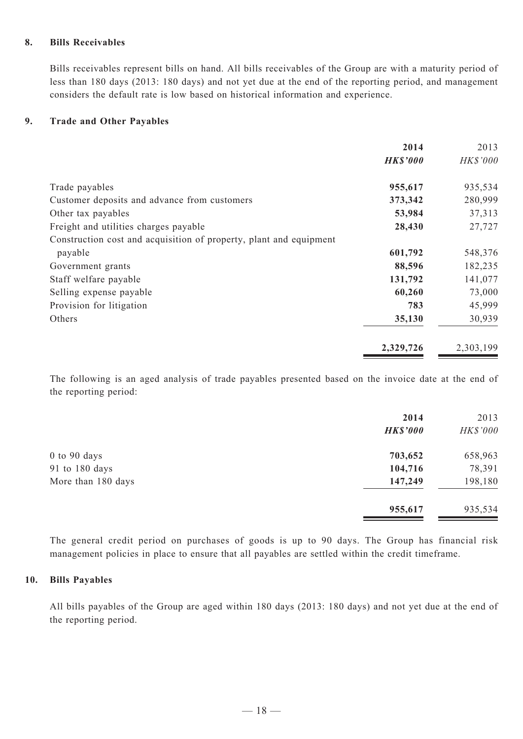#### **8. Bills Receivables**

Bills receivables represent bills on hand. All bills receivables of the Group are with a maturity period of less than 180 days (2013: 180 days) and not yet due at the end of the reporting period, and management considers the default rate is low based on historical information and experience.

#### **9. Trade and Other Payables**

|                                                                    | 2014            | 2013      |
|--------------------------------------------------------------------|-----------------|-----------|
|                                                                    | <b>HK\$'000</b> | HK\$'000  |
| Trade payables                                                     | 955,617         | 935,534   |
| Customer deposits and advance from customers                       | 373,342         | 280,999   |
| Other tax payables                                                 | 53,984          | 37,313    |
| Freight and utilities charges payable                              | 28,430          | 27,727    |
| Construction cost and acquisition of property, plant and equipment |                 |           |
| payable                                                            | 601,792         | 548,376   |
| Government grants                                                  | 88,596          | 182,235   |
| Staff welfare payable                                              | 131,792         | 141,077   |
| Selling expense payable                                            | 60,260          | 73,000    |
| Provision for litigation                                           | 783             | 45,999    |
| Others                                                             | 35,130          | 30,939    |
|                                                                    | 2,329,726       | 2,303,199 |

The following is an aged analysis of trade payables presented based on the invoice date at the end of the reporting period:

|                    | 2014            | 2013     |
|--------------------|-----------------|----------|
|                    | <b>HK\$'000</b> | HK\$'000 |
| $0$ to $90$ days   | 703,652         | 658,963  |
| 91 to 180 days     | 104,716         | 78,391   |
| More than 180 days | 147,249         | 198,180  |
|                    | 955,617         | 935,534  |

The general credit period on purchases of goods is up to 90 days. The Group has financial risk management policies in place to ensure that all payables are settled within the credit timeframe.

#### **10. Bills Payables**

All bills payables of the Group are aged within 180 days (2013: 180 days) and not yet due at the end of the reporting period.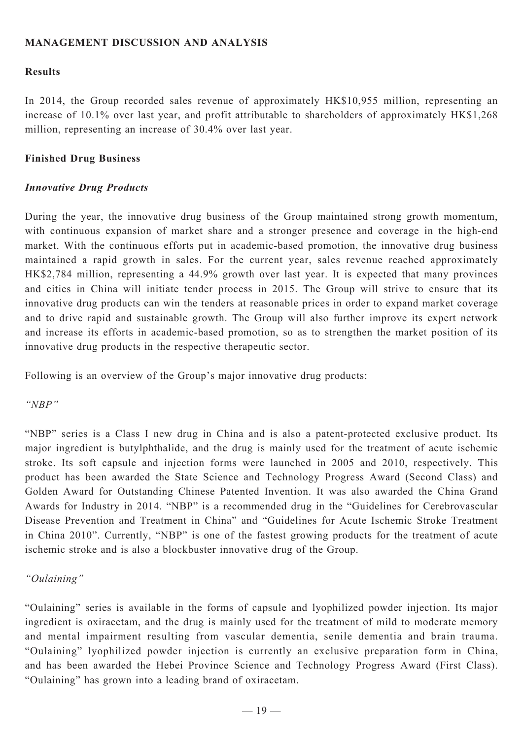## **MANAGEMENT DISCUSSION AND ANALYSIS**

## **Results**

In 2014, the Group recorded sales revenue of approximately HK\$10,955 million, representing an increase of 10.1% over last year, and profit attributable to shareholders of approximately HK\$1,268 million, representing an increase of 30.4% over last year.

### **Finished Drug Business**

## *Innovative Drug Products*

During the year, the innovative drug business of the Group maintained strong growth momentum, with continuous expansion of market share and a stronger presence and coverage in the high-end market. With the continuous efforts put in academic-based promotion, the innovative drug business maintained a rapid growth in sales. For the current year, sales revenue reached approximately HK\$2,784 million, representing a 44.9% growth over last year. It is expected that many provinces and cities in China will initiate tender process in 2015. The Group will strive to ensure that its innovative drug products can win the tenders at reasonable prices in order to expand market coverage and to drive rapid and sustainable growth. The Group will also further improve its expert network and increase its efforts in academic-based promotion, so as to strengthen the market position of its innovative drug products in the respective therapeutic sector.

Following is an overview of the Group's major innovative drug products:

## *"NBP"*

"NBP" series is a Class I new drug in China and is also a patent-protected exclusive product. Its major ingredient is butylphthalide, and the drug is mainly used for the treatment of acute ischemic stroke. Its soft capsule and injection forms were launched in 2005 and 2010, respectively. This product has been awarded the State Science and Technology Progress Award (Second Class) and Golden Award for Outstanding Chinese Patented Invention. It was also awarded the China Grand Awards for Industry in 2014. "NBP" is a recommended drug in the "Guidelines for Cerebrovascular Disease Prevention and Treatment in China" and "Guidelines for Acute Ischemic Stroke Treatment in China 2010". Currently, "NBP" is one of the fastest growing products for the treatment of acute ischemic stroke and is also a blockbuster innovative drug of the Group.

## *"Oulaining"*

"Oulaining" series is available in the forms of capsule and lyophilized powder injection. Its major ingredient is oxiracetam, and the drug is mainly used for the treatment of mild to moderate memory and mental impairment resulting from vascular dementia, senile dementia and brain trauma. "Oulaining" lyophilized powder injection is currently an exclusive preparation form in China, and has been awarded the Hebei Province Science and Technology Progress Award (First Class). "Oulaining" has grown into a leading brand of oxiracetam.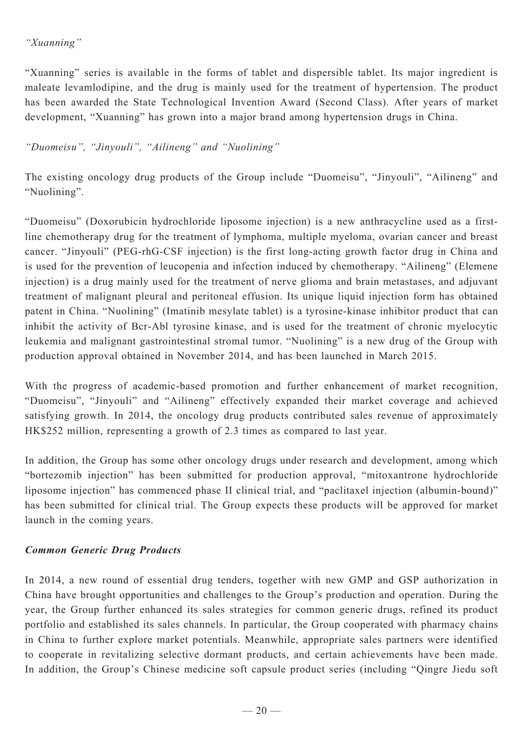"Xuanning" series is available in the forms of tablet and dispersible tablet. Its major ingredient is maleate levamlodipine, and the drug is mainly used for the treatment of hypertension. The product has been awarded the State Technological Invention Award (Second Class). After years of market development, "Xuanning" has grown into a major brand among hypertension drugs in China.

## *"Duomeisu", "Jinyouli", "Ailineng" and "Nuolining"*

The existing oncology drug products of the Group include "Duomeisu", "Jinyouli", "Ailineng" and "Nuolining".

"Duomeisu" (Doxorubicin hydrochloride liposome injection) is a new anthracycline used as a firstline chemotherapy drug for the treatment of lymphoma, multiple myeloma, ovarian cancer and breast cancer. "Jinyouli" (PEG-rhG-CSF injection) is the first long-acting growth factor drug in China and is used for the prevention of leucopenia and infection induced by chemotherapy. "Ailineng" (Elemene injection) is a drug mainly used for the treatment of nerve glioma and brain metastases, and adjuvant treatment of malignant pleural and peritoneal effusion. Its unique liquid injection form has obtained patent in China. "Nuolining" (Imatinib mesylate tablet) is a tyrosine-kinase inhibitor product that can inhibit the activity of Bcr-Abl tyrosine kinase, and is used for the treatment of chronic myelocytic leukemia and malignant gastrointestinal stromal tumor. "Nuolining" is a new drug of the Group with production approval obtained in November 2014, and has been launched in March 2015.

With the progress of academic-based promotion and further enhancement of market recognition, "Duomeisu", "Jinyouli" and "Ailineng" effectively expanded their market coverage and achieved satisfying growth. In 2014, the oncology drug products contributed sales revenue of approximately HK\$252 million, representing a growth of 2.3 times as compared to last year.

In addition, the Group has some other oncology drugs under research and development, among which "bortezomib injection" has been submitted for production approval, "mitoxantrone hydrochloride liposome injection" has commenced phase II clinical trial, and "paclitaxel injection (albumin-bound)" has been submitted for clinical trial. The Group expects these products will be approved for market launch in the coming years.

## *Common Generic Drug Products*

In 2014, a new round of essential drug tenders, together with new GMP and GSP authorization in China have brought opportunities and challenges to the Group's production and operation. During the year, the Group further enhanced its sales strategies for common generic drugs, refined its product portfolio and established its sales channels. In particular, the Group cooperated with pharmacy chains in China to further explore market potentials. Meanwhile, appropriate sales partners were identified to cooperate in revitalizing selective dormant products, and certain achievements have been made. In addition, the Group's Chinese medicine soft capsule product series (including "Qingre Jiedu soft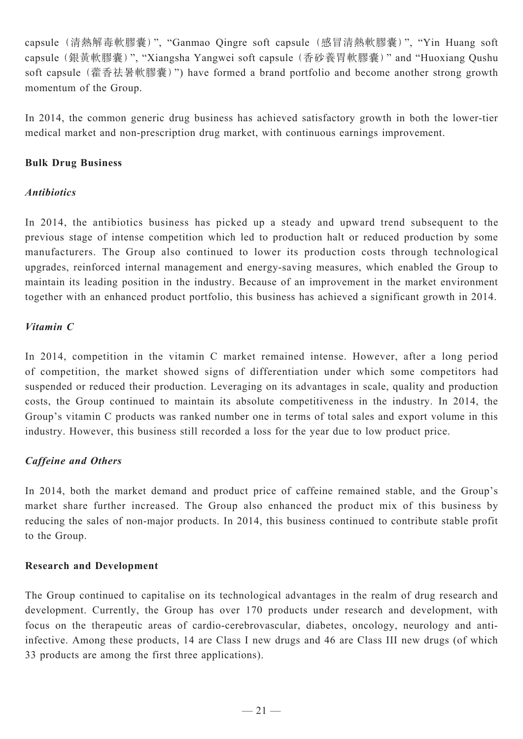capsule (清熱解毒軟膠囊)", "Ganmao Qingre soft capsule (感冒清熱軟膠囊)", "Yin Huang soft capsule(銀黃軟膠囊)", "Xiangsha Yangwei soft capsule (香砂養胃軟膠囊)" and "Huoxiang Qushu soft capsule (藿香祛暑軟膠囊)") have formed a brand portfolio and become another strong growth momentum of the Group.

In 2014, the common generic drug business has achieved satisfactory growth in both the lower-tier medical market and non-prescription drug market, with continuous earnings improvement.

## **Bulk Drug Business**

## *Antibiotics*

In 2014, the antibiotics business has picked up a steady and upward trend subsequent to the previous stage of intense competition which led to production halt or reduced production by some manufacturers. The Group also continued to lower its production costs through technological upgrades, reinforced internal management and energy-saving measures, which enabled the Group to maintain its leading position in the industry. Because of an improvement in the market environment together with an enhanced product portfolio, this business has achieved a significant growth in 2014.

## *Vitamin C*

In 2014, competition in the vitamin C market remained intense. However, after a long period of competition, the market showed signs of differentiation under which some competitors had suspended or reduced their production. Leveraging on its advantages in scale, quality and production costs, the Group continued to maintain its absolute competitiveness in the industry. In 2014, the Group's vitamin C products was ranked number one in terms of total sales and export volume in this industry. However, this business still recorded a loss for the year due to low product price.

## *Caffeine and Others*

In 2014, both the market demand and product price of caffeine remained stable, and the Group's market share further increased. The Group also enhanced the product mix of this business by reducing the sales of non-major products. In 2014, this business continued to contribute stable profit to the Group.

## **Research and Development**

The Group continued to capitalise on its technological advantages in the realm of drug research and development. Currently, the Group has over 170 products under research and development, with focus on the therapeutic areas of cardio-cerebrovascular, diabetes, oncology, neurology and antiinfective. Among these products, 14 are Class I new drugs and 46 are Class III new drugs (of which 33 products are among the first three applications).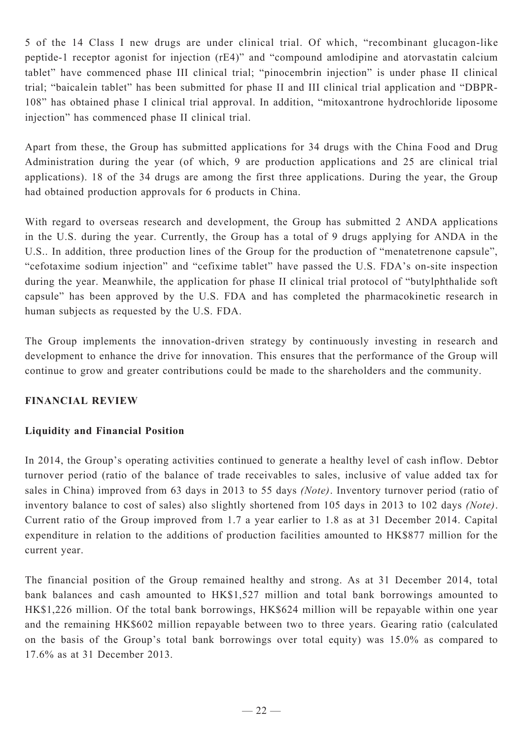5 of the 14 Class I new drugs are under clinical trial. Of which, "recombinant glucagon-like peptide-1 receptor agonist for injection (rE4)" and "compound amlodipine and atorvastatin calcium tablet" have commenced phase III clinical trial; "pinocembrin injection" is under phase II clinical trial; "baicalein tablet" has been submitted for phase II and III clinical trial application and "DBPR-108" has obtained phase I clinical trial approval. In addition, "mitoxantrone hydrochloride liposome injection" has commenced phase II clinical trial.

Apart from these, the Group has submitted applications for 34 drugs with the China Food and Drug Administration during the year (of which, 9 are production applications and 25 are clinical trial applications). 18 of the 34 drugs are among the first three applications. During the year, the Group had obtained production approvals for 6 products in China.

With regard to overseas research and development, the Group has submitted 2 ANDA applications in the U.S. during the year. Currently, the Group has a total of 9 drugs applying for ANDA in the U.S.. In addition, three production lines of the Group for the production of "menatetrenone capsule", "cefotaxime sodium injection" and "cefixime tablet" have passed the U.S. FDA's on-site inspection during the year. Meanwhile, the application for phase II clinical trial protocol of "butylphthalide soft capsule" has been approved by the U.S. FDA and has completed the pharmacokinetic research in human subjects as requested by the U.S. FDA.

The Group implements the innovation-driven strategy by continuously investing in research and development to enhance the drive for innovation. This ensures that the performance of the Group will continue to grow and greater contributions could be made to the shareholders and the community.

## **Financial Review**

## **Liquidity and Financial Position**

In 2014, the Group's operating activities continued to generate a healthy level of cash inflow. Debtor turnover period (ratio of the balance of trade receivables to sales, inclusive of value added tax for sales in China) improved from 63 days in 2013 to 55 days *(Note)*. Inventory turnover period (ratio of inventory balance to cost of sales) also slightly shortened from 105 days in 2013 to 102 days *(Note)*. Current ratio of the Group improved from 1.7 a year earlier to 1.8 as at 31 December 2014. Capital expenditure in relation to the additions of production facilities amounted to HK\$877 million for the current year.

The financial position of the Group remained healthy and strong. As at 31 December 2014, total bank balances and cash amounted to HK\$1,527 million and total bank borrowings amounted to HK\$1,226 million. Of the total bank borrowings, HK\$624 million will be repayable within one year and the remaining HK\$602 million repayable between two to three years. Gearing ratio (calculated on the basis of the Group's total bank borrowings over total equity) was 15.0% as compared to 17.6% as at 31 December 2013.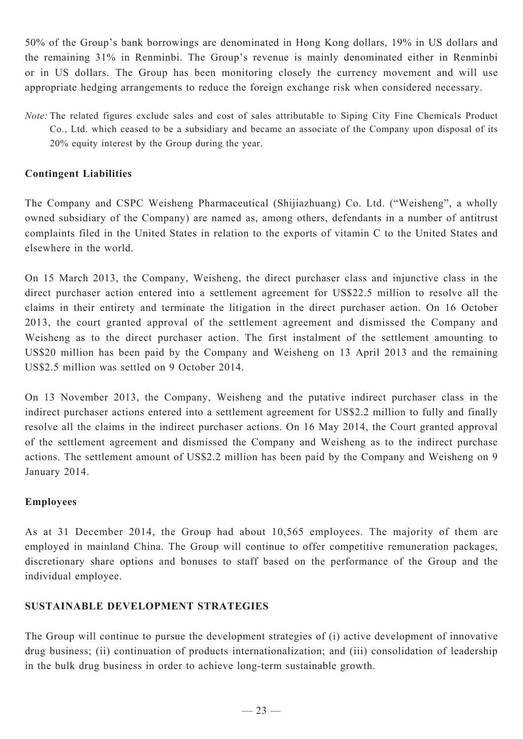50% of the Group's bank borrowings are denominated in Hong Kong dollars, 19% in US dollars and the remaining 31% in Renminbi. The Group's revenue is mainly denominated either in Renminbi or in US dollars. The Group has been monitoring closely the currency movement and will use appropriate hedging arrangements to reduce the foreign exchange risk when considered necessary.

*Note:* The related figures exclude sales and cost of sales attributable to Siping City Fine Chemicals Product Co., Ltd. which ceased to be a subsidiary and became an associate of the Company upon disposal of its 20% equity interest by the Group during the year.

## **Contingent Liabilities**

The Company and CSPC Weisheng Pharmaceutical (Shijiazhuang) Co. Ltd. ("Weisheng", a wholly owned subsidiary of the Company) are named as, among others, defendants in a number of antitrust complaints filed in the United States in relation to the exports of vitamin C to the United States and elsewhere in the world.

On 15 March 2013, the Company, Weisheng, the direct purchaser class and injunctive class in the direct purchaser action entered into a settlement agreement for US\$22.5 million to resolve all the claims in their entirety and terminate the litigation in the direct purchaser action. On 16 October 2013, the court granted approval of the settlement agreement and dismissed the Company and Weisheng as to the direct purchaser action. The first instalment of the settlement amounting to US\$20 million has been paid by the Company and Weisheng on 13 April 2013 and the remaining US\$2.5 million was settled on 9 October 2014.

On 13 November 2013, the Company, Weisheng and the putative indirect purchaser class in the indirect purchaser actions entered into a settlement agreement for US\$2.2 million to fully and finally resolve all the claims in the indirect purchaser actions. On 16 May 2014, the Court granted approval of the settlement agreement and dismissed the Company and Weisheng as to the indirect purchase actions. The settlement amount of US\$2.2 million has been paid by the Company and Weisheng on 9 January 2014.

## **Employees**

As at 31 December 2014, the Group had about 10,565 employees. The majority of them are employed in mainland China. The Group will continue to offer competitive remuneration packages, discretionary share options and bonuses to staff based on the performance of the Group and the individual employee.

## **Sustainable Development Strategies**

The Group will continue to pursue the development strategies of (i) active development of innovative drug business; (ii) continuation of products internationalization; and (iii) consolidation of leadership in the bulk drug business in order to achieve long-term sustainable growth.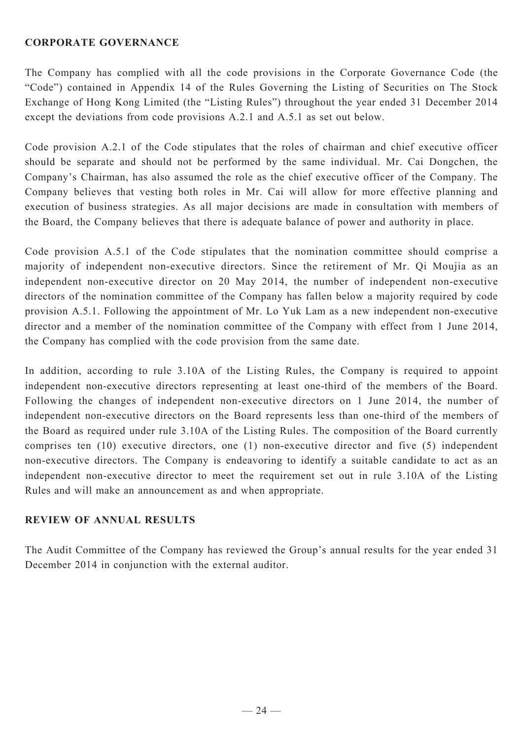## **CORPORATE GOVERNANCE**

The Company has complied with all the code provisions in the Corporate Governance Code (the "Code") contained in Appendix 14 of the Rules Governing the Listing of Securities on The Stock Exchange of Hong Kong Limited (the "Listing Rules") throughout the year ended 31 December 2014 except the deviations from code provisions A.2.1 and A.5.1 as set out below.

Code provision A.2.1 of the Code stipulates that the roles of chairman and chief executive officer should be separate and should not be performed by the same individual. Mr. Cai Dongchen, the Company's Chairman, has also assumed the role as the chief executive officer of the Company. The Company believes that vesting both roles in Mr. Cai will allow for more effective planning and execution of business strategies. As all major decisions are made in consultation with members of the Board, the Company believes that there is adequate balance of power and authority in place.

Code provision A.5.1 of the Code stipulates that the nomination committee should comprise a majority of independent non-executive directors. Since the retirement of Mr. Qi Moujia as an independent non-executive director on 20 May 2014, the number of independent non-executive directors of the nomination committee of the Company has fallen below a majority required by code provision A.5.1. Following the appointment of Mr. Lo Yuk Lam as a new independent non-executive director and a member of the nomination committee of the Company with effect from 1 June 2014, the Company has complied with the code provision from the same date.

In addition, according to rule 3.10A of the Listing Rules, the Company is required to appoint independent non-executive directors representing at least one-third of the members of the Board. Following the changes of independent non-executive directors on 1 June 2014, the number of independent non-executive directors on the Board represents less than one-third of the members of the Board as required under rule 3.10A of the Listing Rules. The composition of the Board currently comprises ten (10) executive directors, one (1) non-executive director and five (5) independent non-executive directors. The Company is endeavoring to identify a suitable candidate to act as an independent non-executive director to meet the requirement set out in rule 3.10A of the Listing Rules and will make an announcement as and when appropriate.

## **REVIEW OF ANNUAL RESULTS**

The Audit Committee of the Company has reviewed the Group's annual results for the year ended 31 December 2014 in conjunction with the external auditor.